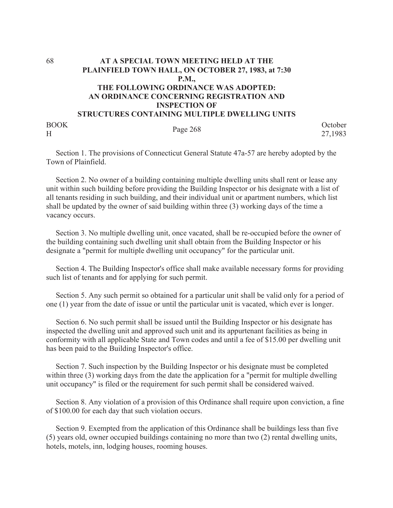## 68 **AT A SPECIAL TOWN MEETING HELD AT THE PLAINFIELD TOWN HALL, ON OCTOBER 27, 1983, at 7:30 P.M., THE FOLLOWING ORDINANCE WAS ADOPTED: AN ORDINANCE CONCERNING REGISTRATION AND INSPECTION OF STRUCTURES CONTAINING MULTIPLE DWELLING UNITS** BOOK

BOOK Page 268 October<br>H 27,1983 27,1983

 Section 1. The provisions of Connecticut General Statute 47a-57 are hereby adopted by the Town of Plainfield.

 Section 2. No owner of a building containing multiple dwelling units shall rent or lease any unit within such building before providing the Building Inspector or his designate with a list of all tenants residing in such building, and their individual unit or apartment numbers, which list shall be updated by the owner of said building within three (3) working days of the time a vacancy occurs.

 Section 3. No multiple dwelling unit, once vacated, shall be re-occupied before the owner of the building containing such dwelling unit shall obtain from the Building Inspector or his designate a "permit for multiple dwelling unit occupancy" for the particular unit.

 Section 4. The Building Inspector's office shall make available necessary forms for providing such list of tenants and for applying for such permit.

 Section 5. Any such permit so obtained for a particular unit shall be valid only for a period of one (1) year from the date of issue or until the particular unit is vacated, which ever is longer.

 Section 6. No such permit shall be issued until the Building Inspector or his designate has inspected the dwelling unit and approved such unit and its appurtenant facilities as being in conformity with all applicable State and Town codes and until a fee of \$15.00 per dwelling unit has been paid to the Building Inspector's office.

 Section 7. Such inspection by the Building Inspector or his designate must be completed within three (3) working days from the date the application for a "permit for multiple dwelling unit occupancy" is filed or the requirement for such permit shall be considered waived.

 Section 8. Any violation of a provision of this Ordinance shall require upon conviction, a fine of \$100.00 for each day that such violation occurs.

 Section 9. Exempted from the application of this Ordinance shall be buildings less than five (5) years old, owner occupied buildings containing no more than two (2) rental dwelling units, hotels, motels, inn, lodging houses, rooming houses.